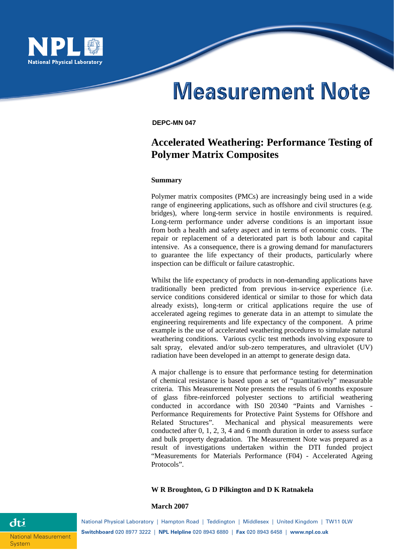

# **Measurement Note**

#### **DEPC-MN 047**

# **Accelerated Weathering: Performance Testing of Polymer Matrix Composites**

#### **Summary**

Polymer matrix composites (PMCs) are increasingly being used in a wide range of engineering applications, such as offshore and civil structures (e.g. bridges), where long-term service in hostile environments is required. Long-term performance under adverse conditions is an important issue from both a health and safety aspect and in terms of economic costs. The repair or replacement of a deteriorated part is both labour and capital intensive. As a consequence, there is a growing demand for manufacturers to guarantee the life expectancy of their products, particularly where inspection can be difficult or failure catastrophic.

Whilst the life expectancy of products in non-demanding applications have traditionally been predicted from previous in-service experience (i.e. service conditions considered identical or similar to those for which data already exists), long-term or critical applications require the use of accelerated ageing regimes to generate data in an attempt to simulate the engineering requirements and life expectancy of the component. A prime example is the use of accelerated weathering procedures to simulate natural weathering conditions. Various cyclic test methods involving exposure to salt spray, elevated and/or sub-zero temperatures, and ultraviolet (UV) radiation have been developed in an attempt to generate design data.

A major challenge is to ensure that performance testing for determination of chemical resistance is based upon a set of "quantitatively" measurable criteria. This Measurement Note presents the results of 6 months exposure of glass fibre-reinforced polyester sections to artificial weathering conducted in accordance with IS0 20340 "Paints and Varnishes - Performance Requirements for Protective Paint Systems for Offshore and Related Structures". Mechanical and physical measurements were conducted after 0, 1, 2, 3, 4 and 6 month duration in order to assess surface and bulk property degradation. The Measurement Note was prepared as a result of investigations undertaken within the DTI funded project "Measurements for Materials Performance (F04) - Accelerated Ageing Protocols".

## **W R Broughton, G D Pilkington and D K Ratnakela**

#### **March 2007**

**System** 

dti

National Physical Laboratory | Hampton Road | Teddington | Middlesex | United Kingdom | TW11 0LW **Switchboard** 020 8977 3222 | **NPL Helpline** 020 8943 6880 | **Fax** 020 8943 6458 | **www.npl.co.uk** National Measurement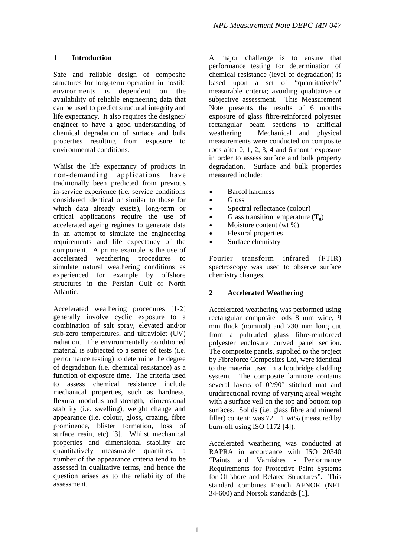# **1 Introduction**

Safe and reliable design of composite structures for long-term operation in hostile environments is dependent on the availability of reliable engineering data that can be used to predict structural integrity and life expectancy. It also requires the designer/ engineer to have a good understanding of chemical degradation of surface and bulk properties resulting from exposure to environmental conditions.

Whilst the life expectancy of products in non-demanding applications have traditionally been predicted from previous in-service experience (i.e. service conditions considered identical or similar to those for which data already exists), long-term or critical applications require the use of accelerated ageing regimes to generate data in an attempt to simulate the engineering requirements and life expectancy of the component. A prime example is the use of accelerated weathering procedures to simulate natural weathering conditions as experienced for example by offshore structures in the Persian Gulf or North Atlantic.

Accelerated weathering procedures [1-2] generally involve cyclic exposure to a combination of salt spray, elevated and/or sub-zero temperatures, and ultraviolet (UV) radiation. The environmentally conditioned material is subjected to a series of tests (i.e. performance testing) to determine the degree of degradation (i.e. chemical resistance) as a function of exposure time. The criteria used to assess chemical resistance include mechanical properties, such as hardness, flexural modulus and strength, dimensional stability (i.e. swelling), weight change and appearance (i.e. colour, gloss, crazing, fibre prominence, blister formation, loss of surface resin, etc) [3]. Whilst mechanical properties and dimensional stability are quantitatively measurable quantities, a number of the appearance criteria tend to be assessed in qualitative terms, and hence the question arises as to the reliability of the assessment.

A major challenge is to ensure that performance testing for determination of chemical resistance (level of degradation) is based upon a set of "quantitatively" measurable criteria; avoiding qualitative or subjective assessment. This Measurement Note presents the results of 6 months exposure of glass fibre-reinforced polyester rectangular beam sections to artificial weathering. Mechanical and physical measurements were conducted on composite rods after 0, 1, 2, 3, 4 and 6 month exposure in order to assess surface and bulk property degradation. Surface and bulk properties measured include:

- Barcol hardness
- Gloss
- Spectral reflectance (colour)
- Glass transition temperature  $(T_{\alpha})$
- Moisture content (wt %)
- Flexural properties
- Surface chemistry

Fourier transform infrared (FTIR) spectroscopy was used to observe surface chemistry changes.

# **2 Accelerated Weathering**

Accelerated weathering was performed using rectangular composite rods 8 mm wide, 9 mm thick (nominal) and 230 mm long cut from a pultruded glass fibre-reinforced polyester enclosure curved panel section. The composite panels, supplied to the project by Fibreforce Composites Ltd, were identical to the material used in a footbridge cladding system. The composite laminate contains several layers of 0°/90° stitched mat and unidirectional roving of varying areal weight with a surface veil on the top and bottom top surfaces. Solids (i.e. glass fibre and mineral filler) content: was  $72 \pm 1$  wt% (measured by burn-off using ISO 1172 [4]).

Accelerated weathering was conducted at RAPRA in accordance with ISO 20340 "Paints and Varnishes - Performance Requirements for Protective Paint Systems for Offshore and Related Structures". This standard combines French AFNOR (NFT 34-600) and Norsok standards [1].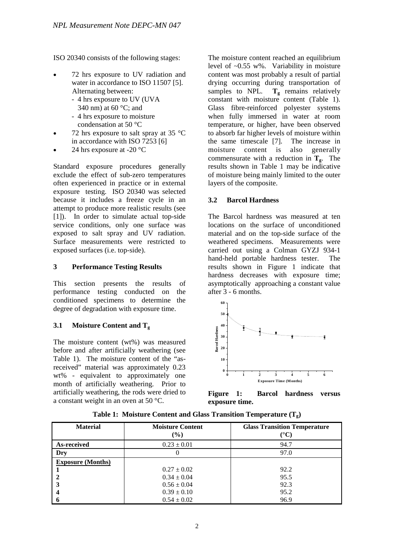ISO 20340 consists of the following stages:

- 72 hrs exposure to UV radiation and water in accordance to ISO 11507 [5]. Alternating between:
	- 4 hrs exposure to UV (UVA
	- 340 nm) at 60 °C; and
	- 4 hrs exposure to moisture condensation at 50 °C
- 72 hrs exposure to salt spray at 35  $\degree$ C in accordance with ISO 7253 [6]
- 24 hrs exposure at -20 $\degree$ C

Standard exposure procedures generally exclude the effect of sub-zero temperatures often experienced in practice or in external exposure testing. ISO 20340 was selected because it includes a freeze cycle in an attempt to produce more realistic results (see [1]). In order to simulate actual top-side service conditions, only one surface was exposed to salt spray and UV radiation. Surface measurements were restricted to exposed surfaces (i.e. top-side).

# **3 Performance Testing Results**

This section presents the results of performance testing conducted on the conditioned specimens to determine the degree of degradation with exposure time.

# **3.1 Moisture Content and Tg**

The moisture content (wt%) was measured before and after artificially weathering (see Table 1). The moisture content of the "asreceived" material was approximately 0.23 wt% - equivalent to approximately one month of artificially weathering. Prior to artificially weathering, the rods were dried to a constant weight in an oven at 50 °C.

The moisture content reached an equilibrium level of ~0.55 w%. Variability in moisture content was most probably a result of partial drying occurring during transportation of samples to NPL.  $T_g$  remains relatively constant with moisture content (Table 1). Glass fibre-reinforced polyester systems when fully immersed in water at room temperature, or higher, have been observed to absorb far higher levels of moisture within the same timescale [7]. The increase in moisture content is also generally commensurate with a reduction in  $T_g$ . The results shown in Table 1 may be indicative of moisture being mainly limited to the outer layers of the composite.

# **3.2 Barcol Hardness**

The Barcol hardness was measured at ten locations on the surface of unconditioned material and on the top-side surface of the weathered specimens. Measurements were carried out using a Colman GYZJ 934-1 hand-held portable hardness tester. The results shown in Figure 1 indicate that hardness decreases with exposure time; asymptotically approaching a constant value after 3 - 6 months.



**Figure 1: Barcol hardness versus exposure time.** 

| <b>Material</b>          | <b>Moisture Content</b><br>$(\%)$ | <b>Glass Transition Temperature</b><br>(°C) |
|--------------------------|-----------------------------------|---------------------------------------------|
| As-received              | $0.23 \pm 0.01$                   | 94.7                                        |
| Dry                      |                                   | 97.0                                        |
| <b>Exposure (Months)</b> |                                   |                                             |
|                          | $0.27 \pm 0.02$                   | 92.2                                        |
|                          | $0.34 \pm 0.04$                   | 95.5                                        |
|                          | $0.56 \pm 0.04$                   | 92.3                                        |
|                          | $0.39 \pm 0.10$                   | 95.2                                        |
|                          | $0.54 \pm 0.02$                   | 96.9                                        |

**Table 1: Moisture Content and Glass Transition Temperature (Tg)**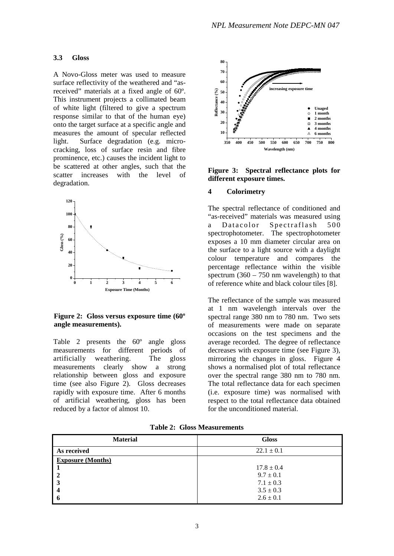#### **3.3 Gloss**

A Novo-Gloss meter was used to measure surface reflectivity of the weathered and "asreceived" materials at a fixed angle of 60º. This instrument projects a collimated beam of white light (filtered to give a spectrum response similar to that of the human eye) onto the target surface at a specific angle and measures the amount of specular reflected light. Surface degradation (e.g. microcracking, loss of surface resin and fibre prominence, etc.) causes the incident light to be scattered at other angles, such that the scatter increases with the level of degradation.



**Figure 2: Gloss versus exposure time (60º angle measurements).** 

Table 2 presents the 60º angle gloss measurements for different periods of artificially weathering. The gloss measurements clearly show a strong relationship between gloss and exposure time (see also Figure 2). Gloss decreases rapidly with exposure time. After 6 months of artificial weathering, gloss has been reduced by a factor of almost 10.



**Figure 3: Spectral reflectance plots for different exposure times.** 

#### **4 Colorimetry**

The spectral reflectance of conditioned and "as-received" materials was measured using a Datacolor Spectraflash 500 spectrophotometer. The spectrophotometer exposes a 10 mm diameter circular area on the surface to a light source with a daylight colour temperature and compares the percentage reflectance within the visible spectrum  $(360 - 750 \text{ nm}$  wavelength) to that of reference white and black colour tiles [8].

The reflectance of the sample was measured at 1 nm wavelength intervals over the spectral range 380 nm to 780 nm. Two sets of measurements were made on separate occasions on the test specimens and the average recorded. The degree of reflectance decreases with exposure time (see Figure 3), mirroring the changes in gloss. Figure 4 shows a normalised plot of total reflectance over the spectral range 380 nm to 780 nm. The total reflectance data for each specimen (i.e. exposure time) was normalised with respect to the total reflectance data obtained for the unconditioned material.

|  | <b>Table 2: Gloss Measurements</b> |
|--|------------------------------------|
|  |                                    |

| <b>Material</b>          | <b>Gloss</b>   |  |
|--------------------------|----------------|--|
| As received              | $22.1 \pm 0.1$ |  |
| <b>Exposure (Months)</b> |                |  |
|                          | $17.8 \pm 0.4$ |  |
| l 2                      | $9.7 \pm 0.1$  |  |
| 3                        | $7.1 \pm 0.3$  |  |
| 4                        | $3.5 \pm 0.3$  |  |
| l 6                      | $2.6 \pm 0.1$  |  |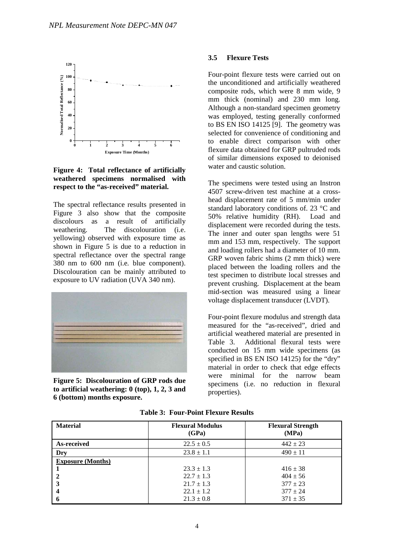

**Figure 4: Total reflectance of artificially weathered specimens normalised with respect to the "as-received" material.** 

The spectral reflectance results presented in Figure 3 also show that the composite discolours as a result of artificially weathering. The discolouration (i.e. yellowing) observed with exposure time as shown in Figure 5 is due to a reduction in spectral reflectance over the spectral range 380 nm to 600 nm (i.e. blue component). Discolouration can be mainly attributed to exposure to UV radiation (UVA 340 nm).



**Figure 5: Discolouration of GRP rods due to artificial weathering: 0 (top), 1, 2, 3 and 6 (bottom) months exposure.** 

#### **3.5 Flexure Tests**

Four-point flexure tests were carried out on the unconditioned and artificially weathered composite rods, which were 8 mm wide, 9 mm thick (nominal) and 230 mm long. Although a non-standard specimen geometry was employed, testing generally conformed to BS EN ISO 14125 [9]. The geometry was selected for convenience of conditioning and to enable direct comparison with other flexure data obtained for GRP pultruded rods of similar dimensions exposed to deionised water and caustic solution.

The specimens were tested using an Instron 4507 screw-driven test machine at a crosshead displacement rate of 5 mm/min under standard laboratory conditions of. 23 °C and 50% relative humidity (RH). Load and displacement were recorded during the tests. The inner and outer span lengths were 51 mm and 153 mm, respectively. The support and loading rollers had a diameter of 10 mm. GRP woven fabric shims (2 mm thick) were placed between the loading rollers and the test specimen to distribute local stresses and prevent crushing. Displacement at the beam mid-section was measured using a linear voltage displacement transducer (LVDT).

Four-point flexure modulus and strength data measured for the "as-received", dried and artificial weathered material are presented in Table 3. Additional flexural tests were conducted on 15 mm wide specimens (as specified in BS EN ISO 14125) for the "dry" material in order to check that edge effects were minimal for the narrow beam specimens (i.e. no reduction in flexural properties).

| <b>Material</b>          | <b>Flexural Modulus</b><br>(GPa) | <b>Flexural Strength</b><br>(MPa) |
|--------------------------|----------------------------------|-----------------------------------|
| As-received              | $22.5 \pm 0.5$                   | $442 \pm 23$                      |
| Dry                      | $23.8 \pm 1.1$                   | $490 \pm 11$                      |
| <b>Exposure (Months)</b> |                                  |                                   |
|                          | $23.3 \pm 1.3$                   | $416 \pm 38$                      |
|                          | $22.7 \pm 1.3$                   | $404 \pm 56$                      |
|                          | $21.7 \pm 1.3$                   | $377 \pm 23$                      |
|                          | $22.1 \pm 1.2$                   | $377 \pm 24$                      |
| o                        | $21.3 \pm 0.8$                   | $371 \pm 35$                      |

**Table 3: Four-Point Flexure Results**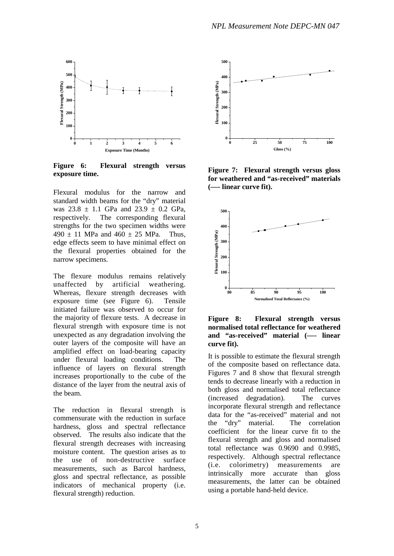

**Figure 6: Flexural strength versus exposure time.** 

Flexural modulus for the narrow and standard width beams for the "dry" material was  $23.8 \pm 1.1$  GPa and  $23.9 \pm 0.2$  GPa, respectively. The corresponding flexural strengths for the two specimen widths were  $490 \pm 11$  MPa and  $460 \pm 25$  MPa. Thus, edge effects seem to have minimal effect on the flexural properties obtained for the narrow specimens.

The flexure modulus remains relatively unaffected by artificial weathering. Whereas, flexure strength decreases with exposure time (see Figure 6). Tensile initiated failure was observed to occur for the majority of flexure tests. A decrease in flexural strength with exposure time is not unexpected as any degradation involving the outer layers of the composite will have an amplified effect on load-bearing capacity under flexural loading conditions. The influence of layers on flexural strength increases proportionally to the cube of the distance of the layer from the neutral axis of the beam.

The reduction in flexural strength is commensurate with the reduction in surface hardness, gloss and spectral reflectance observed. The results also indicate that the flexural strength decreases with increasing moisture content. The question arises as to the use of non-destructive surface measurements, such as Barcol hardness, gloss and spectral reflectance, as possible indicators of mechanical property (i.e. flexural strength) reduction.



**Figure 7: Flexural strength versus gloss for weathered and "as-received" materials (—- linear curve fit).**



**Figure 8: Flexural strength versus normalised total reflectance for weathered and "as-received" material (—- linear curve fit).**

It is possible to estimate the flexural strength of the composite based on reflectance data. Figures 7 and 8 show that flexural strength tends to decrease linearly with a reduction in both gloss and normalised total reflectance (increased degradation). The curves incorporate flexural strength and reflectance data for the "as-received" material and not the "dry" material. The correlation coefficient for the linear curve fit to the flexural strength and gloss and normalised total reflectance was 0.9690 and 0.9985, respectively. Although spectral reflectance (i.e. colorimetry) measurements are intrinsically more accurate than gloss measurements, the latter can be obtained using a portable hand-held device.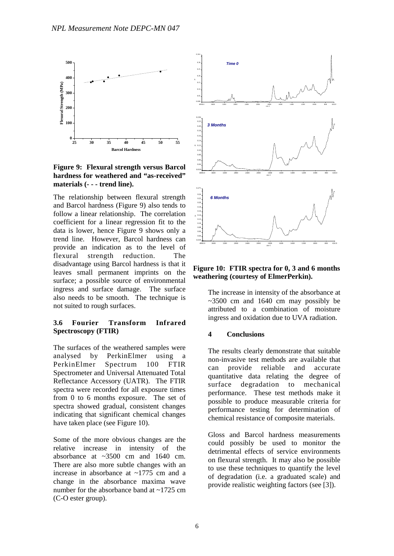

**Figure 9: Flexural strength versus Barcol hardness for weathered and "as-received" materials (- - - trend line).**

The relationship between flexural strength and Barcol hardness (Figure 9) also tends to follow a linear relationship. The correlation coefficient for a linear regression fit to the data is lower, hence Figure 9 shows only a trend line. However, Barcol hardness can provide an indication as to the level of flexural strength reduction. The disadvantage using Barcol hardness is that it leaves small permanent imprints on the surface; a possible source of environmental ingress and surface damage. The surface also needs to be smooth. The technique is not suited to rough surfaces.

# **3.6 Fourier Transform Infrared Spectroscopy (FTIR)**

The surfaces of the weathered samples were analysed by PerkinElmer using a PerkinElmer Spectrum 100 FTIR Spectrometer and Universal Attenuated Total Reflectance Accessory (UATR). The FTIR spectra were recorded for all exposure times from 0 to 6 months exposure. The set of spectra showed gradual, consistent changes indicating that significant chemical changes have taken place (see Figure 10).

Some of the more obvious changes are the relative increase in intensity of the absorbance at ~3500 cm and 1640 cm. There are also more subtle changes with an increase in absorbance at ~1775 cm and a change in the absorbance maxima wave number for the absorbance band at ~1725 cm (C-O ester group).



**Figure 10: FTIR spectra for 0, 3 and 6 months weathering (courtesy of ElmerPerkin).**

The increase in intensity of the absorbance at  $\sim$ 3500 cm and 1640 cm may possibly be attributed to a combination of moisture ingress and oxidation due to UVA radiation.

# **4 Conclusions**

The results clearly demonstrate that suitable non-invasive test methods are available that can provide reliable and accurate quantitative data relating the degree of surface degradation to mechanical performance. These test methods make it possible to produce measurable criteria for performance testing for determination of chemical resistance of composite materials.

Gloss and Barcol hardness measurements could possibly be used to monitor the detrimental effects of service environments on flexural strength. It may also be possible to use these techniques to quantify the level of degradation (i.e. a graduated scale) and provide realistic weighting factors (see [3]).